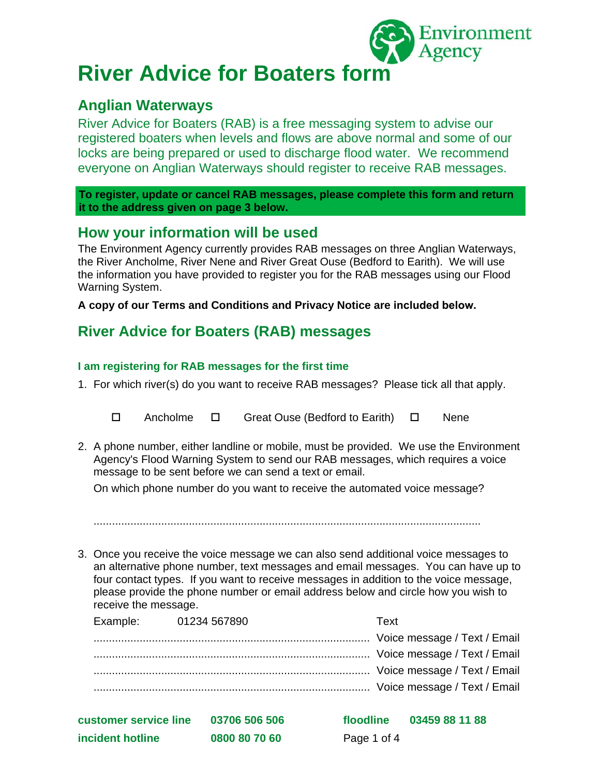

# **River Advice for Boaters form**

# **Anglian Waterways**

River Advice for Boaters (RAB) is a free messaging system to advise our registered boaters when levels and flows are above normal and some of our locks are being prepared or used to discharge flood water. We recommend everyone on Anglian Waterways should register to receive RAB messages.

**To register, update or cancel RAB messages, please complete this form and return it to the address given on page 3 below.** 

# **How your information will be used**

The Environment Agency currently provides RAB messages on three Anglian Waterways, the River Ancholme, River Nene and River Great Ouse (Bedford to Earith). We will use the information you have provided to register you for the RAB messages using our Flood Warning System.

**A copy of our Terms and Conditions and Privacy Notice are included below.** 

# **River Advice for Boaters (RAB) messages**

### **I am registering for RAB messages for the first time**

- 1. For which river(s) do you want to receive RAB messages? Please tick all that apply.
	- Ancholme Great Ouse (Bedford to Earith) Nene
- 2. A phone number, either landline or mobile, must be provided. We use the Environment Agency's Flood Warning System to send our RAB messages, which requires a voice message to be sent before we can send a text or email.

On which phone number do you want to receive the automated voice message?

..............................................................................................................................

3. Once you receive the voice message we can also send additional voice messages to an alternative phone number, text messages and email messages. You can have up to four contact types. If you want to receive messages in addition to the voice message, please provide the phone number or email address below and circle how you wish to receive the message.

| Example:              | 01234 567890  | Text        |                              |
|-----------------------|---------------|-------------|------------------------------|
|                       |               |             | Voice message / Text / Email |
|                       |               |             |                              |
|                       |               |             |                              |
|                       |               |             |                              |
| customer service line | 03706 506 506 | floodline   | 03459 88 11 88               |
| incident hotline      | 0800 80 70 60 | Page 1 of 4 |                              |
|                       |               |             |                              |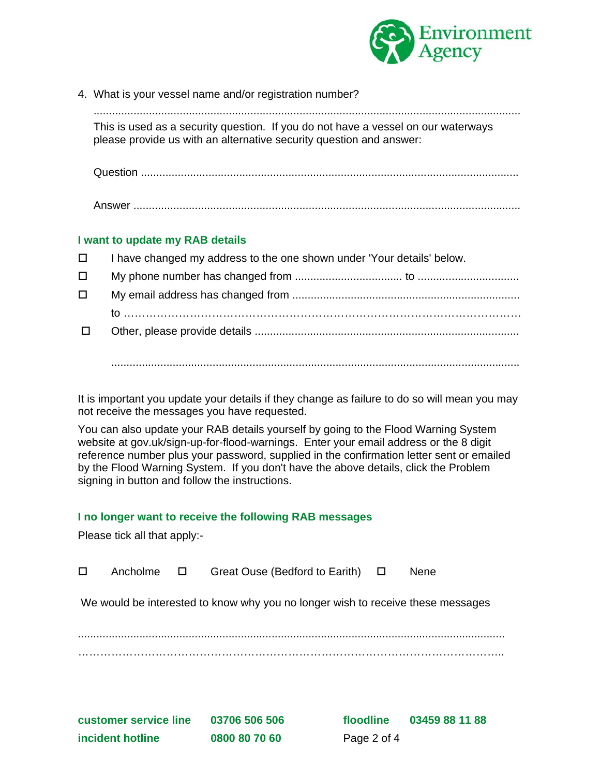

4. What is your vessel name and/or registration number?

........................................................................................................................................... This is used as a security question. If you do not have a vessel on our waterways please provide us with an alternative security question and answer:

Question ...........................................................................................................................

Answer ..............................................................................................................................

#### **I want to update my RAB details**

| $\Box$ | I have changed my address to the one shown under 'Your details' below. |  |  |
|--------|------------------------------------------------------------------------|--|--|
| □      |                                                                        |  |  |
| □      |                                                                        |  |  |
|        |                                                                        |  |  |
| $\Box$ |                                                                        |  |  |
|        |                                                                        |  |  |

It is important you update your details if they change as failure to do so will mean you may not receive the messages you have requested.

.....................................................................................................................................

You can also update your RAB details yourself by going to the Flood Warning System website at gov.uk/sign-up-for-flood-warnings. Enter your email address or the 8 digit reference number plus your password, supplied in the confirmation letter sent or emailed by the Flood Warning System. If you don't have the above details, click the Problem signing in button and follow the instructions.

#### **I no longer want to receive the following RAB messages**

Please tick all that apply:-

| $\Box$ | Ancholme              | $\Box$ | Great Ouse (Bedford to Earith) $\Box$                                           |             |           | <b>Nene</b>    |  |
|--------|-----------------------|--------|---------------------------------------------------------------------------------|-------------|-----------|----------------|--|
|        |                       |        | We would be interested to know why you no longer wish to receive these messages |             |           |                |  |
|        |                       |        |                                                                                 |             |           |                |  |
|        |                       |        |                                                                                 |             |           |                |  |
|        |                       |        |                                                                                 |             |           |                |  |
|        | customer service line |        | 03706 506 506                                                                   |             | floodline | 03459 88 11 88 |  |
|        | incident hotline      |        | 0800 80 70 60                                                                   | Page 2 of 4 |           |                |  |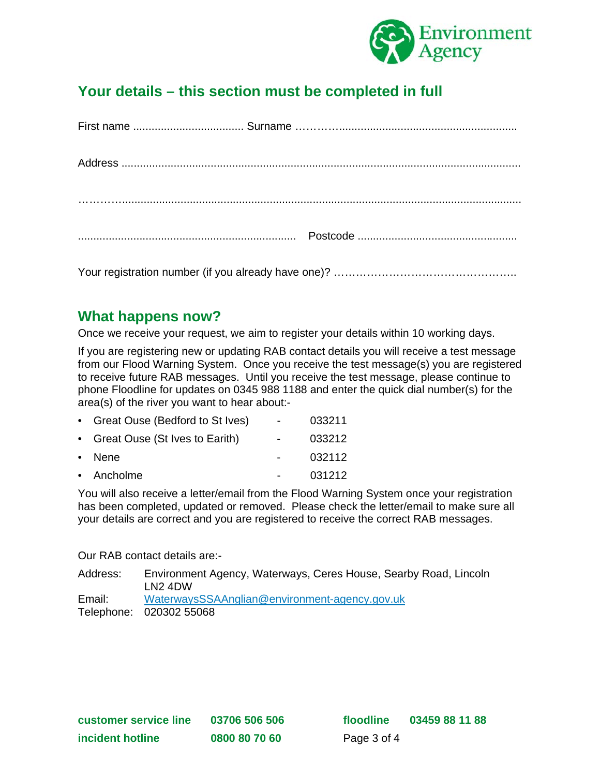

# **Your details – this section must be completed in full**

Your registration number (if you already have one)? …………………………………………..

# **What happens now?**

Once we receive your request, we aim to register your details within 10 working days.

If you are registering new or updating RAB contact details you will receive a test message from our Flood Warning System. Once you receive the test message(s) you are registered to receive future RAB messages. Until you receive the test message, please continue to phone Floodline for updates on 0345 988 1188 and enter the quick dial number(s) for the area(s) of the river you want to hear about:-

| • Great Ouse (Bedford to St Ives) | $\sim$ 100 $\mu$ | 033211 |
|-----------------------------------|------------------|--------|
| • Great Ouse (St Ives to Earith)  | $\sim$ 100 $\mu$ | 033212 |
| • Nene                            |                  | 032112 |
| • Ancholme                        |                  | 031212 |

You will also receive a letter/email from the Flood Warning System once your registration has been completed, updated or removed. Please check the letter/email to make sure all your details are correct and you are registered to receive the correct RAB messages.

Our RAB contact details are:-

| Address: | Environment Agency, Waterways, Ceres House, Searby Road, Lincoln<br><u>I N2 4DW</u> |
|----------|-------------------------------------------------------------------------------------|
| Email:   | WaterwaysSSAAnglian@environment-agency.gov.uk                                       |
|          | Telephone: 020302 55068                                                             |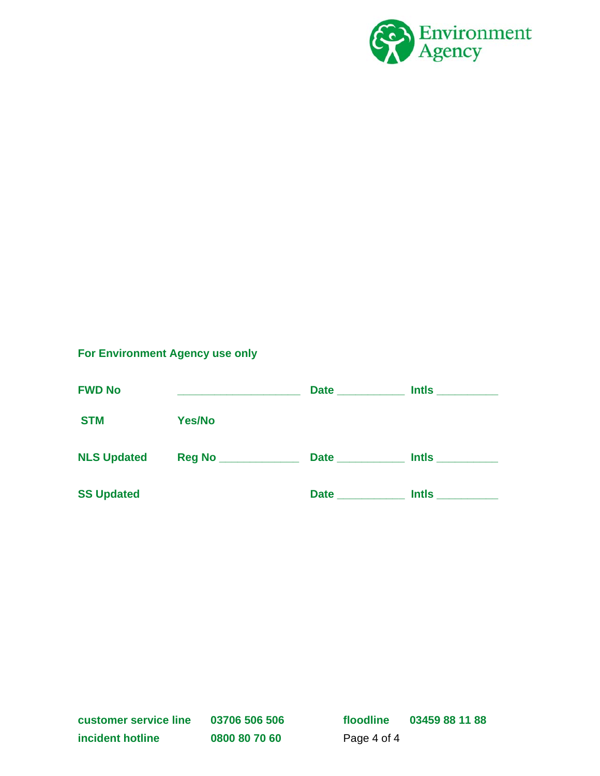

## **For Environment Agency use only**

| <b>FWD No</b>      |               | Date _______     |              |
|--------------------|---------------|------------------|--------------|
| <b>STM</b>         | <b>Yes/No</b> |                  |              |
| <b>NLS Updated</b> |               | <b>Date Date</b> | <b>Intls</b> |
| <b>SS Updated</b>  |               | <b>Date</b>      | <b>Intls</b> |

**customer service line 03706 506 506 floodline 03459 88 11 88**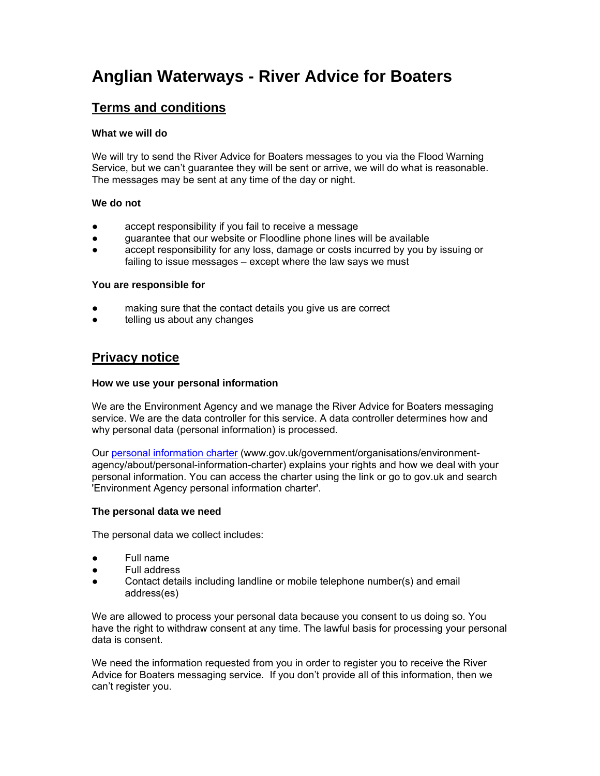# **Anglian Waterways - River Advice for Boaters**

## **Terms and conditions**

#### **What we will do**

We will try to send the River Advice for Boaters messages to you via the Flood Warning Service, but we can't guarantee they will be sent or arrive, we will do what is reasonable. The messages may be sent at any time of the day or night.

#### **We do not**

- accept responsibility if you fail to receive a message
- guarantee that our website or Floodline phone lines will be available
- accept responsibility for any loss, damage or costs incurred by you by issuing or failing to issue messages – except where the law says we must

#### **You are responsible for**

- making sure that the contact details you give us are correct
- telling us about any changes

### **Privacy notice**

#### **How we use your personal information**

We are the Environment Agency and we manage the River Advice for Boaters messaging service. We are the data controller for this service. A data controller determines how and why personal data (personal information) is processed.

Our personal information charter (www.gov.uk/government/organisations/environmentagency/about/personal-information-charter) explains your rights and how we deal with your personal information. You can access the charter using the link or go to gov.uk and search 'Environment Agency personal information charter'.

#### **The personal data we need**

The personal data we collect includes:

- Full name
- Full address
- Contact details including landline or mobile telephone number(s) and email address(es)

We are allowed to process your personal data because you consent to us doing so. You have the right to withdraw consent at any time. The lawful basis for processing your personal data is consent.

We need the information requested from you in order to register you to receive the River Advice for Boaters messaging service. If you don't provide all of this information, then we can't register you.